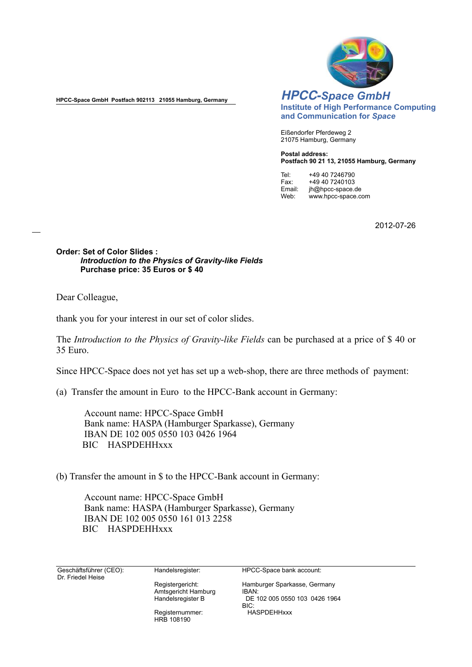

**HPCC-Space GmbH Postfach 902113 21055 Hamburg, Germany**

*HPCC-Space GmbH* **Institute of High Performance Computing and Communication for** *Space*

Eißendorfer Pferdeweg 2 21075 Hamburg, Germany

**Postal address: Postfach 90 21 13, 21055 Hamburg, Germany**

Tel: +49 40 7246790<br>Fax: +49 40 7240103 Fax: +49 40 7240103<br>Email: ih@hpcc-space.o Email: jh@hpcc-space.de<br>Web: www.hpcc-space.co Web: www.hpcc-space.com

2012-07-26

**Order: Set of Color Slides :** *Introduction to the Physics of Gravity-like Fields*  **Purchase price: 35 Euros or \$ 40** 

Dear Colleague,

thank you for your interest in our set of color slides.

The *Introduction to the Physics of Gravity-like Fields* can be purchased at a price of \$ 40 or 35 Euro.

Since HPCC-Space does not yet has set up a web-shop, there are three methods of payment:

(a) Transfer the amount in Euro to the HPCC-Bank account in Germany:

Account name: HPCC-Space GmbH Bank name: HASPA (Hamburger Sparkasse), Germany IBAN DE 102 005 0550 103 0426 1964 BIC HASPDEHHxxx

(b) Transfer the amount in \$ to the HPCC-Bank account in Germany:

Account name: HPCC-Space GmbH Bank name: HASPA (Hamburger Sparkasse), Germany IBAN DE 102 005 0550 161 013 2258 BIC HASPDEHHxxx

Geschäftsführer (CEO): Dr. Friedel Heise

Handelsregister:

Registergericht: Amtsgericht Hamburg Handelsregister B

Registernummer: HRB 108190

HPCC-Space bank account:

Hamburger Sparkasse, Germany IBAN: DE 102 005 0550 103 0426 1964 BIC: HASPDEHHxxx